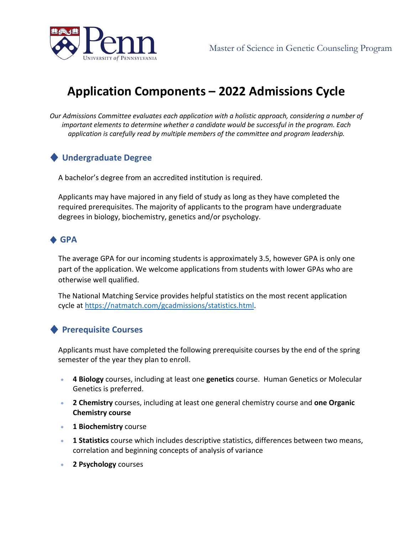

# **Application Components – 2022 Admissions Cycle**

*Our Admissions Committee evaluates each application with a holistic approach, considering a number of important elements to determine whether a candidate would be successful in the program. Each application is carefully read by multiple members of the committee and program leadership.*

### ♦ **Undergraduate Degree**

A bachelor's degree from an accredited institution is required.

Applicants may have majored in any field of study as long as they have completed the required prerequisites. The majority of applicants to the program have undergraduate degrees in biology, biochemistry, genetics and/or psychology.

### ♦ **GPA**

The average GPA for our incoming students is approximately 3.5, however GPA is only one part of the application. We welcome applications from students with lower GPAs who are otherwise well qualified.

The National Matching Service provides helpful statistics on the most recent application cycle at [https://natmatch.com/gcadmissions/statistics.html.](https://natmatch.com/gcadmissions/statistics.html)

### ♦ **Prerequisite Courses**

Applicants must have completed the following prerequisite courses by the end of the spring semester of the year they plan to enroll.

- **4 Biology** courses, including at least one **genetics** course. Human Genetics or Molecular Genetics is preferred.
- **2 Chemistry** courses, including at least one general chemistry course and **one Organic Chemistry course**
- **1 Biochemistry** course
- **1 Statistics** course which includes descriptive statistics, differences between two means, correlation and beginning concepts of analysis of variance
- **2 Psychology** courses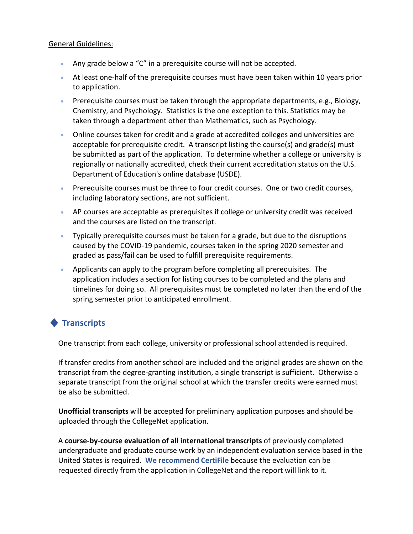#### General Guidelines:

- Any grade below a "C" in a prerequisite course will not be accepted.
- At least one-half of the prerequisite courses must have been taken within 10 years prior to application.
- Prerequisite courses must be taken through the appropriate departments, e.g., Biology, Chemistry, and Psychology. Statistics is the one exception to this. Statistics may be taken through a department other than Mathematics, such as Psychology.
- Online courses taken for credit and a grade at accredited colleges and universities are acceptable for prerequisite credit. A transcript listing the course(s) and grade(s) must be submitted as part of the application. To determine whether a college or university is regionally or nationally accredited, check their current accreditation status on the U.S. Department of Education's online database (USDE).
- Prerequisite courses must be three to four credit courses. One or two credit courses, including laboratory sections, are not sufficient.
- AP courses are acceptable as prerequisites if college or university credit was received and the courses are listed on the transcript.
- Typically prerequisite courses must be taken for a grade, but due to the disruptions caused by the COVID-19 pandemic, courses taken in the spring 2020 semester and graded as pass/fail can be used to fulfill prerequisite requirements.
- Applicants can apply to the program before completing all prerequisites. The application includes a section for listing courses to be completed and the plans and timelines for doing so. All prerequisites must be completed no later than the end of the spring semester prior to anticipated enrollment.

# ♦ **Transcripts**

One transcript from each college, university or professional school attended is required.

If transfer credits from another school are included and the original grades are shown on the transcript from the degree-granting institution, a single transcript is sufficient. Otherwise a separate transcript from the original school at which the transfer credits were earned must be also be submitted.

**Unofficial transcripts** will be accepted for preliminary application purposes and should be uploaded through the CollegeNet application.

A **course-by-course evaluation of all international transcripts** of previously completed undergraduate and graduate course work by an independent evaluation service based in the United States is required. **We recommend CertiFile** because the evaluation can be requested directly from the application in CollegeNet and the report will link to it.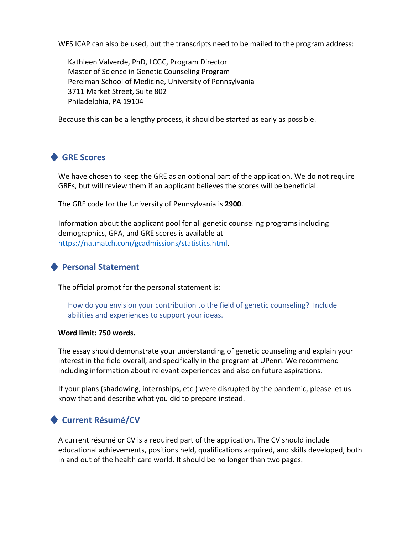WES ICAP can also be used, but the transcripts need to be mailed to the program address:

Kathleen Valverde, PhD, LCGC, Program Director Master of Science in Genetic Counseling Program Perelman School of Medicine, University of Pennsylvania 3711 Market Street, Suite 802 Philadelphia, PA 19104

Because this can be a lengthy process, it should be started as early as possible.

# ♦ **GRE Scores**

We have chosen to keep the GRE as an optional part of the application. We do not require GREs, but will review them if an applicant believes the scores will be beneficial.

The GRE code for the University of Pennsylvania is **2900**.

Information about the applicant pool for all genetic counseling programs including demographics, GPA, and GRE scores is available at [https://natmatch.com/gcadmissions/statistics.html.](https://natmatch.com/gcadmissions/statistics.html)

### ♦ **Personal Statement**

The official prompt for the personal statement is:

How do you envision your contribution to the field of genetic counseling? Include abilities and experiences to support your ideas.

#### **Word limit: 750 words.**

The essay should demonstrate your understanding of genetic counseling and explain your interest in the field overall, and specifically in the program at UPenn. We recommend including information about relevant experiences and also on future aspirations.

If your plans (shadowing, internships, etc.) were disrupted by the pandemic, please let us know that and describe what you did to prepare instead.

### ♦ **Current Résumé/CV**

A current résumé or CV is a required part of the application. The CV should include educational achievements, positions held, qualifications acquired, and skills developed, both in and out of the health care world. It should be no longer than two pages.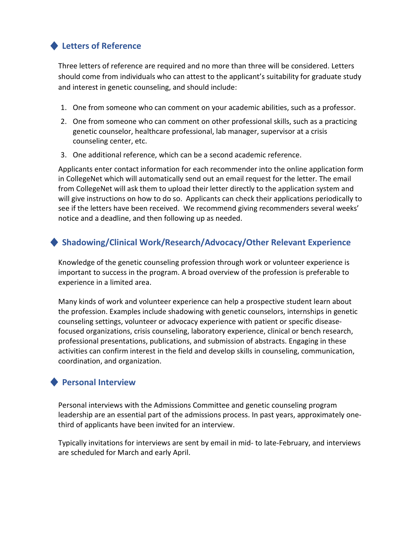# ♦ **Letters of Reference**

Three letters of reference are required and no more than three will be considered. Letters should come from individuals who can attest to the applicant's suitability for graduate study and interest in genetic counseling, and should include:

- 1. One from someone who can comment on your academic abilities, such as a professor.
- 2. One from someone who can comment on other professional skills, such as a practicing genetic counselor, healthcare professional, lab manager, supervisor at a crisis counseling center, etc.
- 3. One additional reference, which can be a second academic reference.

Applicants enter contact information for each recommender into the online application form in CollegeNet which will automatically send out an email request for the letter. The email from CollegeNet will ask them to upload their letter directly to the application system and will give instructions on how to do so. Applicants can check their applications periodically to see if the letters have been received. We recommend giving recommenders several weeks' notice and a deadline, and then following up as needed.

### ♦ **Shadowing/Clinical Work/Research/Advocacy/Other Relevant Experience**

Knowledge of the genetic counseling profession through work or volunteer experience is important to success in the program. A broad overview of the profession is preferable to experience in a limited area.

Many kinds of work and volunteer experience can help a prospective student learn about the profession. Examples include shadowing with genetic counselors, internships in genetic counseling settings, volunteer or advocacy experience with patient or specific diseasefocused organizations, crisis counseling, laboratory experience, clinical or bench research, professional presentations, publications, and submission of abstracts. Engaging in these activities can confirm interest in the field and develop skills in counseling, communication, coordination, and organization.

### ♦ **Personal Interview**

Personal interviews with the Admissions Committee and genetic counseling program leadership are an essential part of the admissions process. In past years, approximately onethird of applicants have been invited for an interview.

Typically invitations for interviews are sent by email in mid- to late-February, and interviews are scheduled for March and early April.